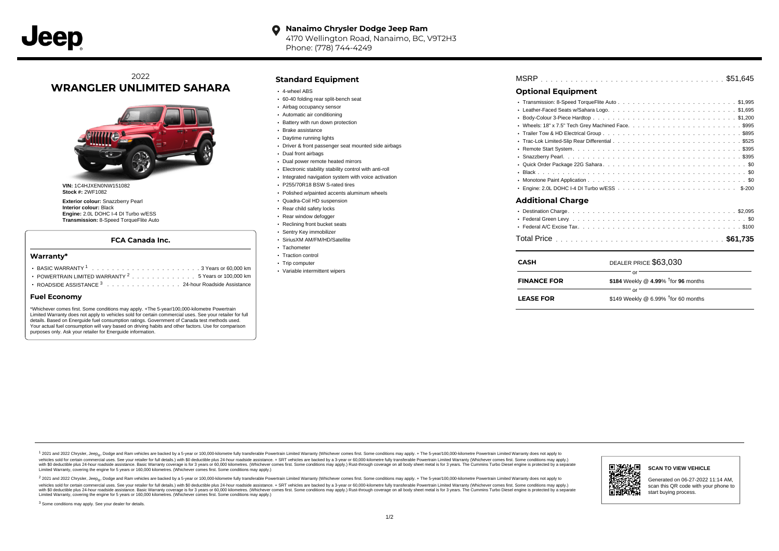#### **Nanaimo Chrysler Dodge Jeep Ram**  $\bullet$ 4170 Wellington Road, Nanaimo, BC, V9T2H3 Phone: (778) 744-4249

# 2022 **WRANGLER UNLIMITED SAHARA**



**VIN:** 1C4HJXEN0NW151082 **Stock #:** 2WF1082

**Exterior colour:** Snazzberry Pearl **Interior colour:** Black **Engine:** 2.0L DOHC I-4 DI Turbo w/ESS **Transmission:** 8-Speed TorqueFlite Auto

### **FCA Canada Inc.**

#### **Warranty\***

| • POWERTRAIN LIMITED WARRANTY <sup>2</sup> 5 Years or 100,000 km |  |  |  |  |  |
|------------------------------------------------------------------|--|--|--|--|--|
| ROADSIDE ASSISTANCE 3 24-hour Roadside Assistance                |  |  |  |  |  |

#### **Fuel Economy**

\*Whichever comes first. Some conditions may apply. +The 5-year/100,000-kilometre Powertrain Limited Warranty does not apply to vehicles sold for certain commercial uses. See your retailer for full details. Based on Energuide fuel consumption ratings. Government of Canada test methods used. Your actual fuel consumption will vary based on driving habits and other factors. Use for comparison purposes only. Ask your retailer for Energuide information.

### **Standard Equipment**

- 4-wheel ABS
- 60-40 folding rear split-bench seat
- Airbag occupancy sensor
- Automatic air conditioning
- Battery with run down protection
- Brake assistance
- Daytime running lights
- Driver & front passenger seat mounted side airbags
- Dual front airbags
- Dual power remote heated mirrors
- Electronic stability stability control with anti-roll
- Integrated navigation system with voice activation
- P255/70R18 BSW S-rated tires
- Polished w/painted accents aluminum wheels
- Quadra-Coil HD suspension
- Rear child safety locks
- Rear window defogger Reclining front bucket seats
- Sentry Key immobilizer
- SiriusXM AM/FM/HD/Satellite
- Tachometer
- Traction control
- Trip computer
- Variable intermittent wipers

| MSRP |  |  |
|------|--|--|
|------|--|--|

## **Optional Equipment**

| or                       |                       |  |  |  |  |  |
|--------------------------|-----------------------|--|--|--|--|--|
| <b>CASH</b>              | DEALER PRICE \$63,030 |  |  |  |  |  |
|                          |                       |  |  |  |  |  |
|                          |                       |  |  |  |  |  |
|                          |                       |  |  |  |  |  |
| <b>Additional Charge</b> |                       |  |  |  |  |  |
|                          |                       |  |  |  |  |  |
|                          |                       |  |  |  |  |  |
|                          |                       |  |  |  |  |  |
|                          |                       |  |  |  |  |  |
|                          |                       |  |  |  |  |  |
|                          |                       |  |  |  |  |  |
|                          |                       |  |  |  |  |  |
|                          |                       |  |  |  |  |  |
|                          |                       |  |  |  |  |  |
|                          |                       |  |  |  |  |  |

| <b>FINANCE FOR</b> | \$184 Weekly @ 4.99% $†$ for 96 months |
|--------------------|----------------------------------------|
|                    | $\alpha$ r                             |
| <b>LEASE FOR</b>   | \$149 Weekly @ 6.99% $†$ for 60 months |

1 2021 and 2022 Chrysler, Jeep<sub>en</sub> Dodge and Ram vehicles are backed by a 5-year or 100,000-kilometre fully transferable Powertrain Limited Warranty (Whichever comes first. Some conditions may apply. + The 5-year/100,000-k vehicles sold for certain commercial uses. See your retailer for full details.) with \$0 deductible plus 24-hour roadside assistance. + SRT vehicles are backed by a 3-year or 60,000-kilometre fully transferable Powertrain L versus and contract the mean of the contract of the contract with a contract with a contract the contract of the search of the contract and a control of the contract and contract and control of the search of the search of Limited Warranty, covering the engine for 5 years or 160,000 kilometres. (Whichever comes first. Some conditions may apply.)

<sup>2</sup> 2021 and 2022 Chrysler, Jeep<sub>®</sub>, Dodge and Ram vehicles are backed by a 5-year or 100,000-kilometre fully transferable Powertrain Limited Warranty (Whichever comes first. Some conditions may apply. + The 5-year/100,000 vehicles sold for certain commercial uses. See your retailer for full details.) with SO deductible plus 24-hour roadside assistance. + SRT vehicles are backed by a 3-year or 60.000-kilometre fully transferable Powertrain L with S0 deductible plus 24-hour roadside assistance. Basic Warranty coverage is for 3 years or 60,000 kilometres. (Whichever comes first. Some conditions may apply.) Rust-through coverage on all body sheet metal is for 3 y



## **SCAN TO VIEW VEHICLE**

Generated on 06-27-2022 11:14 AM, scan this QR code with your phone to start buying process.

<sup>3</sup> Some conditions may apply. See your dealer for details.